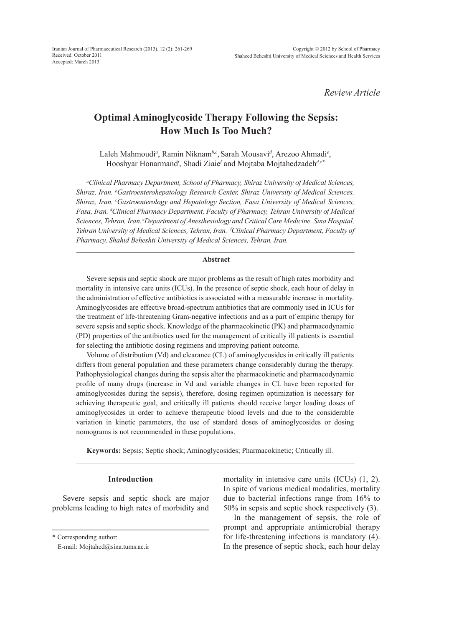*Review Article*

# **Optimal Aminoglycoside Therapy Following the Sepsis: How Much Is Too Much?**

Laleh Mahmoudi*<sup>a</sup>* , Ramin Niknam*b,c*, Sarah Mousavi*<sup>d</sup>* , Arezoo Ahmadi*<sup>e</sup>* , Hooshyar Honarmand*<sup>f</sup>* , Shadi Ziaie*<sup>f</sup>* and Mojtaba Mojtahedzadeh*d,e\**

*a Clinical Pharmacy Department, School of Pharmacy, Shiraz University of Medical Sciences, Shiraz, Iran. b Gastroenterohepatology Research Center, Shiraz University of Medical Sciences, Shiraz, Iran. c Gastroenterology and Hepatology Section, Fasa University of Medical Sciences, Fasa, Iran. d Clinical Pharmacy Department, Faculty of Pharmacy, Tehran University of Medical Sciences, Tehran, Iran. eDepartment of Anesthesiology and Critical Care Medicine, Sina Hospital, Tehran University of Medical Sciences, Tehran, Iran. f Clinical Pharmacy Department, Faculty of Pharmacy, Shahid Beheshti University of Medical Sciences, Tehran, Iran.*

# **Abstract**

Severe sepsis and septic shock are major problems as the result of high rates morbidity and mortality in intensive care units (ICUs). In the presence of septic shock, each hour of delay in the administration of effective antibiotics is associated with a measurable increase in mortality. Aminoglycosides are effective broad-spectrum antibiotics that are commonly used in ICUs for the treatment of life-threatening Gram-negative infections and as a part of empiric therapy for severe sepsis and septic shock. Knowledge of the pharmacokinetic (PK) and pharmacodynamic (PD) properties of the antibiotics used for the management of critically ill patients is essential for selecting the antibiotic dosing regimens and improving patient outcome.

Volume of distribution (Vd) and clearance (CL) of aminoglycosides in critically ill patients differs from general population and these parameters change considerably during the therapy. Pathophysiological changes during the sepsis alter the pharmacokinetic and pharmacodynamic profile of many drugs (increase in Vd and variable changes in CL have been reported for aminoglycosides during the sepsis), therefore, dosing regimen optimization is necessary for achieving therapeutic goal, and critically ill patients should receive larger loading doses of aminoglycosides in order to achieve therapeutic blood levels and due to the considerable variation in kinetic parameters, the use of standard doses of aminoglycosides or dosing nomograms is not recommended in these populations.

**Keywords:** Sepsis; Septic shock; Aminoglycosides; Pharmacokinetic; Critically ill.

## **Introduction**

Severe sepsis and septic shock are major problems leading to high rates of morbidity and mortality in intensive care units (ICUs) (1, 2). In spite of various medical modalities, mortality due to bacterial infections range from 16% to 50% in sepsis and septic shock respectively (3).

In the management of sepsis, the role of prompt and appropriate antimicrobial therapy for life-threatening infections is mandatory (4). In the presence of septic shock, each hour delay

<sup>\*</sup> Corresponding author:

E-mail: Mojtahed@sina.tums.ac.ir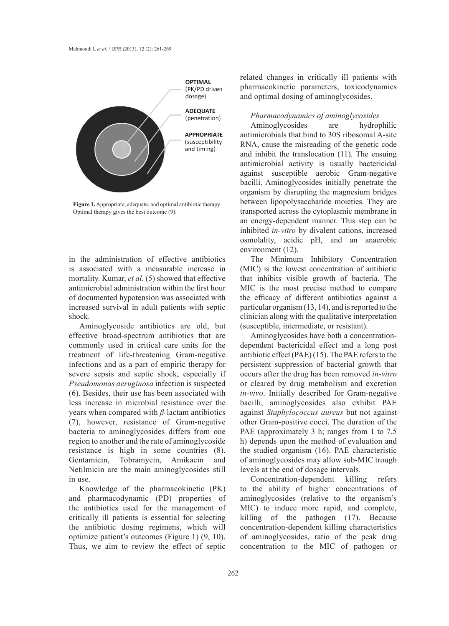

**Figure 1.** Appropriate, adequate, and optimal antibiotic therapy. Optimal therapy gives the best outcome (9).

in the administration of effective antibiotics is associated with a measurable increase in mortality. Kumar, *et al.* (5) showed that effective antimicrobial administration within the first hour of documented hypotension was associated with increased survival in adult patients with septic shock.

Aminoglycoside antibiotics are old, but effective broad-spectrum antibiotics that are commonly used in critical care units for the treatment of life-threatening Gram-negative infections and as a part of empiric therapy for severe sepsis and septic shock, especially if *Pseudomonas aeruginosa* infection is suspected (6). Besides, their use has been associated with less increase in microbial resistance over the years when compared with *β*-lactam antibiotics (7), however, resistance of Gram-negative bacteria to aminoglycosides differs from one region to another and the rate of aminoglycoside resistance is high in some countries (8). Gentamicin, Tobramycin, Amikacin and Netilmicin are the main aminoglycosides still in use.

Knowledge of the pharmacokinetic (PK) and pharmacodynamic (PD) properties of the antibiotics used for the management of critically ill patients is essential for selecting the antibiotic dosing regimens, which will optimize patient's outcomes (Figure 1) (9, 10). Thus, we aim to review the effect of septic

related changes in critically ill patients with pharmacokinetic parameters, toxicodynamics and optimal dosing of aminoglycosides.

# *Pharmacodynamics of aminoglycosides*

Aminoglycosides are hydrophilic antimicrobials that bind to 30S ribosomal A-site RNA, cause the misreading of the genetic code and inhibit the translocation (11). The ensuing antimicrobial activity is usually bactericidal against susceptible aerobic Gram-negative bacilli. Aminoglycosides initially penetrate the organism by disrupting the magnesium bridges between lipopolysaccharide moieties. They are transported across the cytoplasmic membrane in an energy-dependent manner. This step can be inhibited *in-vitro* by divalent cations, increased osmolality, acidic pH, and an anaerobic environment (12).

The Minimum Inhibitory Concentration (MIC) is the lowest concentration of antibiotic that inhibits visible growth of bacteria. The MIC is the most precise method to compare the efficacy of different antibiotics against a particular organism (13, 14), and is reported to the clinician along with the qualitative interpretation (susceptible, intermediate, or resistant).

Aminoglycosides have both a concentrationdependent bactericidal effect and a long post antibiotic effect (PAE) (15). The PAE refers to the persistent suppression of bacterial growth that occurs after the drug has been removed *in-vitro* or cleared by drug metabolism and excretion *in-vivo*. Initially described for Gram-negative bacilli, aminoglycosides also exhibit PAE against *Staphylococcus aureus* but not against other Gram-positive cocci. The duration of the PAE (approximately 3 h; ranges from 1 to 7.5 h) depends upon the method of evaluation and the studied organism (16). PAE characteristic of aminoglycosides may allow sub-MIC trough levels at the end of dosage intervals.

Concentration-dependent killing refers to the ability of higher concentrations of aminoglycosides (relative to the organism's MIC) to induce more rapid, and complete, killing of the pathogen (17). Because concentration-dependent killing characteristics of aminoglycosides, ratio of the peak drug concentration to the MIC of pathogen or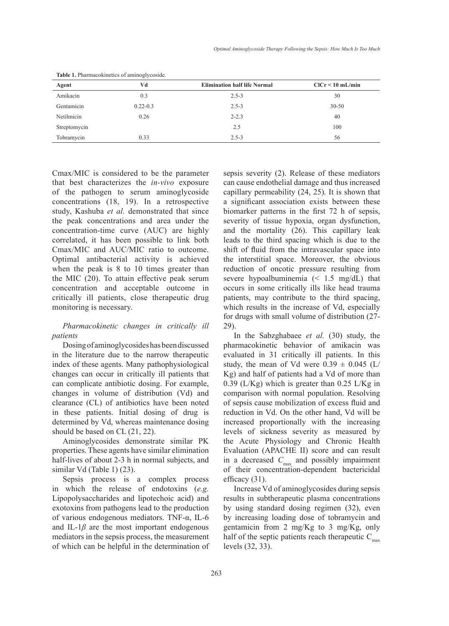|              | ر ب          |                                     |                    |
|--------------|--------------|-------------------------------------|--------------------|
| Agent        | Vd           | <b>Elimination half life Normal</b> | $CICr < 10$ mL/min |
| Amikacin     | 0.3          | $2.5 - 3$                           | 30                 |
| Gentamicin   | $0.22 - 0.3$ | $2.5 - 3$                           | $30 - 50$          |
| Netilmicin   | 0.26         | $2 - 2.3$                           | 40                 |
| Streptomycin |              | 2.5                                 | 100                |
| Tobramycin   | 0.33         | $2.5 - 3$                           | 56                 |

**Table 1.** Pharmacokinetics of aminoglycoside.

Cmax/MIC is considered to be the parameter that best characterizes the *in-vivo* exposure of the pathogen to serum aminoglycoside concentrations (18, 19). In a retrospective study, Kashuba *et al.* demonstrated that since the peak concentrations and area under the concentration-time curve (AUC) are highly correlated, it has been possible to link both Cmax/MIC and AUC/MIC ratio to outcome. Optimal antibacterial activity is achieved when the peak is 8 to 10 times greater than the MIC (20). To attain effective peak serum concentration and acceptable outcome in critically ill patients, close therapeutic drug monitoring is necessary.

# *Pharmacokinetic changes in critically ill patients*

Dosing of aminoglycosides has been discussed in the literature due to the narrow therapeutic index of these agents. Many pathophysiological changes can occur in critically ill patients that can complicate antibiotic dosing. For example, changes in volume of distribution (Vd) and clearance (CL) of antibiotics have been noted in these patients. Initial dosing of drug is determined by Vd, whereas maintenance dosing should be based on CL (21, 22).

Aminoglycosides demonstrate similar PK properties. These agents have similar elimination half-lives of about 2-3 h in normal subjects, and similar Vd (Table 1) (23).

Sepsis process is a complex process in which the release of endotoxins (*e.g.* Lipopolysaccharides and lipotechoic acid) and exotoxins from pathogens lead to the production of various endogenous mediators. TNF-α, IL-6 and IL-1 $\beta$  are the most important endogenous mediators in the sepsis process, the measurement of which can be helpful in the determination of sepsis severity (2). Release of these mediators can cause endothelial damage and thus increased capillary permeability (24, 25). It is shown that a significant association exists between these biomarker patterns in the first 72 h of sepsis, severity of tissue hypoxia, organ dysfunction, and the mortality (26). This capillary leak leads to the third spacing which is due to the shift of fluid from the intravascular space into the interstitial space. Moreover, the obvious reduction of oncotic pressure resulting from severe hypoalbuminemia (< 1.5 mg/dL) that occurs in some critically ills like head trauma patients, may contribute to the third spacing, which results in the increase of Vd, especially for drugs with small volume of distribution (27- 29).

In the Sabzghabaee *et al.* (30) study, the pharmacokinetic behavior of amikacin was evaluated in 31 critically ill patients. In this study, the mean of Vd were  $0.39 \pm 0.045$  (L/ Kg) and half of patients had a Vd of more than 0.39 (L/Kg) which is greater than 0.25 L/Kg in comparison with normal population. Resolving of sepsis cause mobilization of excess fluid and reduction in Vd. On the other hand, Vd will be increased proportionally with the increasing levels of sickness severity as measured by the Acute Physiology and Chronic Health Evaluation (APACHE II) score and can result in a decreased *C*<sub>max</sub> and possibly impairment of their concentration-dependent bactericidal efficacy (31).

Increase Vd of aminoglycosides during sepsis results in subtherapeutic plasma concentrations by using standard dosing regimen (32), even by increasing loading dose of tobramycin and gentamicin from 2 mg/Kg to 3 mg/Kg, only half of the septic patients reach therapeutic  $C_{\text{max}}$ levels (32, 33).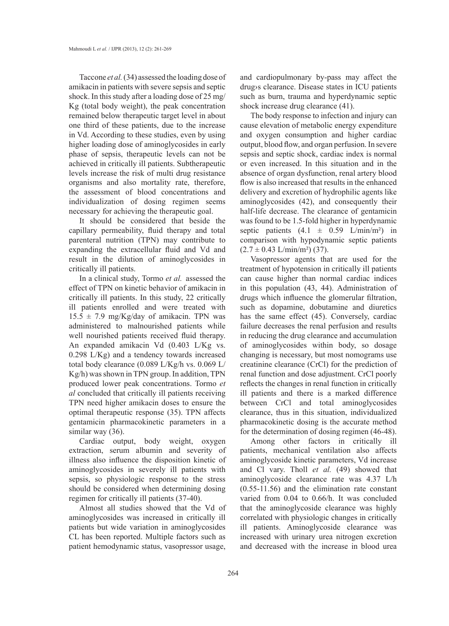Taccone *et al.* (34) assessed the loading dose of amikacin in patients with severe sepsis and septic shock. In this study after a loading dose of 25 mg/ Kg (total body weight), the peak concentration remained below therapeutic target level in about one third of these patients, due to the increase in Vd. According to these studies, even by using higher loading dose of aminoglycosides in early phase of sepsis, therapeutic levels can not be achieved in critically ill patients. Subtherapeutic levels increase the risk of multi drug resistance organisms and also mortality rate, therefore, the assessment of blood concentrations and individualization of dosing regimen seems necessary for achieving the therapeutic goal.

It should be considered that beside the capillary permeability, fluid therapy and total parenteral nutrition (TPN) may contribute to expanding the extracellular fluid and Vd and result in the dilution of aminoglycosides in critically ill patients.

In a clinical study, Tormo *et al.* assessed the effect of TPN on kinetic behavior of amikacin in critically ill patients. In this study, 22 critically ill patients enrolled and were treated with  $15.5 \pm 7.9$  mg/Kg/day of amikacin. TPN was administered to malnourished patients while well nourished patients received fluid therapy. An expanded amikacin Vd (0.403 L/Kg vs. 0.298 L/Kg) and a tendency towards increased total body clearance (0.089 L/Kg/h vs. 0.069 L/ Kg/h) was shown in TPN group. In addition, TPN produced lower peak concentrations. Tormo *et al* concluded that critically ill patients receiving TPN need higher amikacin doses to ensure the optimal therapeutic response (35). TPN affects gentamicin pharmacokinetic parameters in a similar way (36).

Cardiac output, body weight, oxygen extraction, serum albumin and severity of illness also influence the disposition kinetic of aminoglycosides in severely ill patients with sepsis, so physiologic response to the stress should be considered when determining dosing regimen for critically ill patients (37-40).

Almost all studies showed that the Vd of aminoglycosides was increased in critically ill patients but wide variation in aminoglycosides CL has been reported. Multiple factors such as patient hemodynamic status, vasopressor usage, and cardiopulmonary by-pass may affect the drug›s clearance. Disease states in ICU patients such as burn, trauma and hyperdynamic septic shock increase drug clearance (41).

The body response to infection and injury can cause elevation of metabolic energy expenditure and oxygen consumption and higher cardiac output, blood flow, and organ perfusion. In severe sepsis and septic shock, cardiac index is normal or even increased. In this situation and in the absence of organ dysfunction, renal artery blood flow is also increased that results in the enhanced delivery and excretion of hydrophilic agents like aminoglycosides (42), and consequently their half-life decrease. The clearance of gentamicin was found to be 1.5-fold higher in hyperdynamic septic patients  $(4.1 \pm 0.59 \text{ L/min/m}^2)$  in comparison with hypodynamic septic patients  $(2.7 \pm 0.43 \text{ L/min/m}^2)$  (37).

Vasopressor agents that are used for the treatment of hypotension in critically ill patients can cause higher than normal cardiac indices in this population (43, 44). Administration of drugs which influence the glomerular filtration, such as dopamine, dobutamine and diuretics has the same effect (45). Conversely, cardiac failure decreases the renal perfusion and results in reducing the drug clearance and accumulation of aminoglycosides within body, so dosage changing is necessary, but most nomograms use creatinine clearance (CrCl) for the prediction of renal function and dose adjustment. CrCl poorly reflects the changes in renal function in critically ill patients and there is a marked difference between CrCl and total aminoglycosides clearance, thus in this situation, individualized pharmacokinetic dosing is the accurate method for the determination of dosing regimen (46-48).

Among other factors in critically ill patients, mechanical ventilation also affects aminoglycoside kinetic parameters, Vd increase and Cl vary. Tholl *et al.* (49) showed that aminoglycoside clearance rate was 4.37 L/h (0.55-11.56) and the elimination rate constant varied from 0.04 to 0.66/h. It was concluded that the aminoglycoside clearance was highly correlated with physiologic changes in critically ill patients. Aminoglycoside clearance was increased with urinary urea nitrogen excretion and decreased with the increase in blood urea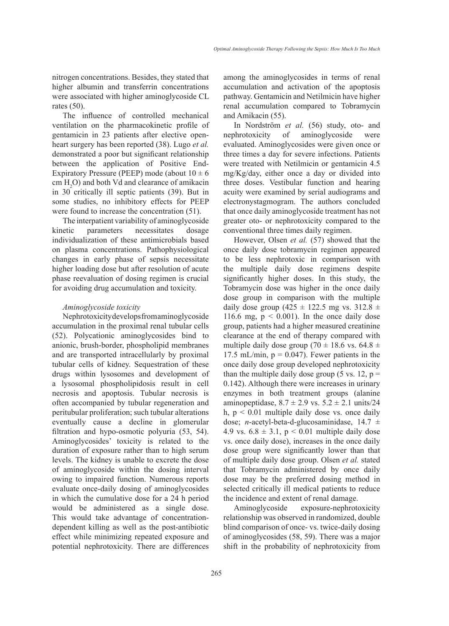nitrogen concentrations. Besides, they stated that higher albumin and transferrin concentrations were associated with higher aminoglycoside CL rates (50).

The influence of controlled mechanical ventilation on the pharmacokinetic profile of gentamicin in 23 patients after elective openheart surgery has been reported (38). Lugo *et al.* demonstrated a poor but significant relationship between the application of Positive End-Expiratory Pressure (PEEP) mode (about  $10 \pm 6$  $cm H<sub>2</sub>O$ ) and both Vd and clearance of amikacin in 30 critically ill septic patients (39). But in some studies, no inhibitory effects for PEEP were found to increase the concentration (51).

The interpatient variability of aminoglycoside kinetic parameters necessitates dosage individualization of these antimicrobials based on plasma concentrations. Pathophysiological changes in early phase of sepsis necessitate higher loading dose but after resolution of acute phase reevaluation of dosing regimen is crucial for avoiding drug accumulation and toxicity.

## *Aminoglycoside toxicity*

Nephrotoxicity develops from aminoglycoside accumulation in the proximal renal tubular cells (52). Polycationic aminoglycosides bind to anionic, brush-border, phospholipid membranes and are transported intracellularly by proximal tubular cells of kidney. Sequestration of these drugs within lysosomes and development of a lysosomal phospholipidosis result in cell necrosis and apoptosis. Tubular necrosis is often accompanied by tubular regeneration and peritubular proliferation; such tubular alterations eventually cause a decline in glomerular filtration and hypo-osmotic polyuria (53, 54). Aminoglycosides' toxicity is related to the duration of exposure rather than to high serum levels. The kidney is unable to excrete the dose of aminoglycoside within the dosing interval owing to impaired function. Numerous reports evaluate once-daily dosing of aminoglycosides in which the cumulative dose for a 24 h period would be administered as a single dose. This would take advantage of concentrationdependent killing as well as the post-antibiotic effect while minimizing repeated exposure and potential nephrotoxicity. There are differences

among the aminoglycosides in terms of renal accumulation and activation of the apoptosis pathway. Gentamicin and Netilmicin have higher renal accumulation compared to Tobramycin and Amikacin (55).

In Nordström *et al.* (56) study, oto- and nephrotoxicity of aminoglycoside were evaluated. Aminoglycosides were given once or three times a day for severe infections. Patients were treated with Netilmicin or gentamicin 4.5 mg/Kg/day, either once a day or divided into three doses. Vestibular function and hearing acuity were examined by serial audiograms and electronystagmogram. The authors concluded that once daily aminoglycoside treatment has not greater oto- or nephrotoxicity compared to the conventional three times daily regimen.

However, Olsen *et al.* (57) showed that the once daily dose tobramycin regimen appeared to be less nephrotoxic in comparison with the multiple daily dose regimens despite significantly higher doses. In this study, the Tobramycin dose was higher in the once daily dose group in comparison with the multiple daily dose group (425  $\pm$  122.5 mg vs. 312.8  $\pm$ 116.6 mg,  $p < 0.001$ ). In the once daily dose group, patients had a higher measured creatinine clearance at the end of therapy compared with multiple daily dose group (70  $\pm$  18.6 vs. 64.8  $\pm$ 17.5 mL/min,  $p = 0.047$ ). Fewer patients in the once daily dose group developed nephrotoxicity than the multiple daily dose group (5 vs. 12,  $p =$ 0.142). Although there were increases in urinary enzymes in both treatment groups (alanine aminopeptidase,  $8.7 \pm 2.9$  vs.  $5.2 \pm 2.1$  units/24 h,  $p < 0.01$  multiple daily dose vs. once daily dose; *n*-acetyl-beta-d-glucosaminidase, 14.7 ± 4.9 vs.  $6.8 \pm 3.1$ ,  $p \le 0.01$  multiple daily dose vs. once daily dose), increases in the once daily dose group were significantly lower than that of multiple daily dose group. Olsen *et al.* stated that Tobramycin administered by once daily dose may be the preferred dosing method in selected critically ill medical patients to reduce the incidence and extent of renal damage.

Aminoglycoside exposure-nephrotoxicity relationship was observed in randomized, double blind comparison of once- vs. twice-daily dosing of aminoglycosides (58, 59). There was a major shift in the probability of nephrotoxicity from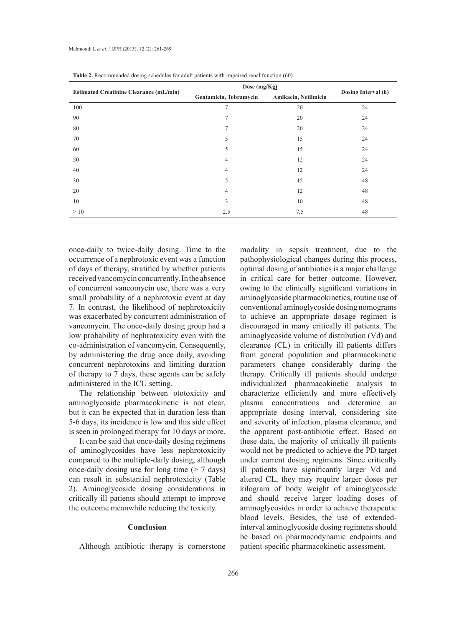|                                                | Dose (mg/Kg)           |                      |                     |
|------------------------------------------------|------------------------|----------------------|---------------------|
| <b>Estimated Creatinine Clearance (mL/min)</b> | Gentamicin, Tobramycin | Amikacin, Netilmicin | Dosing Interval (h) |
| 100                                            | 7                      | 20                   | 24                  |
| 90                                             |                        | 20                   | 24                  |
| 80                                             |                        | 20                   | 24                  |
| 70                                             | 5                      | 15                   | 24                  |
| 60                                             | 5                      | 15                   | 24                  |
| 50                                             | 4                      | 12                   | 24                  |
| 40                                             | 4                      | 12                   | 24                  |
| 30                                             | 5                      | 15                   | 48                  |
| 20                                             | 4                      | 12                   | 48                  |
| 10                                             | 3                      | 10                   | 48                  |
| >10                                            | 2.5                    | 7.5                  | 48                  |

**Table 2.** Recommended dosing schedules for adult patients with impaired renal function (60).

once-daily to twice-daily dosing. Time to the occurrence of a nephrotoxic event was a function of days of therapy, stratified by whether patients received vancomycin concurrently. In the absence of concurrent vancomycin use, there was a very small probability of a nephrotoxic event at day 7. In contrast, the likelihood of nephrotoxicity was exacerbated by concurrent administration of vancomycin. The once-daily dosing group had a low probability of nephrotoxicity even with the co-administration of vancomycin. Consequently, by administering the drug once daily, avoiding concurrent nephrotoxins and limiting duration of therapy to 7 days, these agents can be safely administered in the ICU setting.

The relationship between ototoxicity and aminoglycoside pharmacokinetic is not clear, but it can be expected that in duration less than 5-6 days, its incidence is low and this side effect is seen in prolonged therapy for 10 days or more.

It can be said that once-daily dosing regimens of aminoglycosides have less nephrotoxicity compared to the multiple-daily dosing, although once-daily dosing use for long time  $($  > 7 days) can result in substantial nephrotoxicity (Table 2). Aminoglycoside dosing considerations in critically ill patients should attempt to improve the outcome meanwhile reducing the toxicity.

#### **Conclusion**

Although antibiotic therapy is cornerstone

modality in sepsis treatment, due to the pathophysiological changes during this process, optimal dosing of antibiotics is a major challenge in critical care for better outcome. However, owing to the clinically significant variations in aminoglycoside pharmacokinetics, routine use of conventional aminoglycoside dosing nomograms to achieve an appropriate dosage regimen is discouraged in many critically ill patients. The aminoglycoside volume of distribution (Vd) and clearance (CL) in critically ill patients differs from general population and pharmacokinetic parameters change considerably during the therapy. Critically ill patients should undergo individualized pharmacokinetic analysis to characterize efficiently and more effectively plasma concentrations and determine an appropriate dosing interval, considering site and severity of infection, plasma clearance, and the apparent post-antibiotic effect. Based on these data, the majority of critically ill patients would not be predicted to achieve the PD target under current dosing regimens. Since critically ill patients have significantly larger Vd and altered CL, they may require larger doses per kilogram of body weight of aminoglycoside and should receive larger loading doses of aminoglycosides in order to achieve therapeutic blood levels. Besides, the use of extendedinterval aminoglycoside dosing regimens should be based on pharmacodynamic endpoints and patient-specific pharmacokinetic assessment.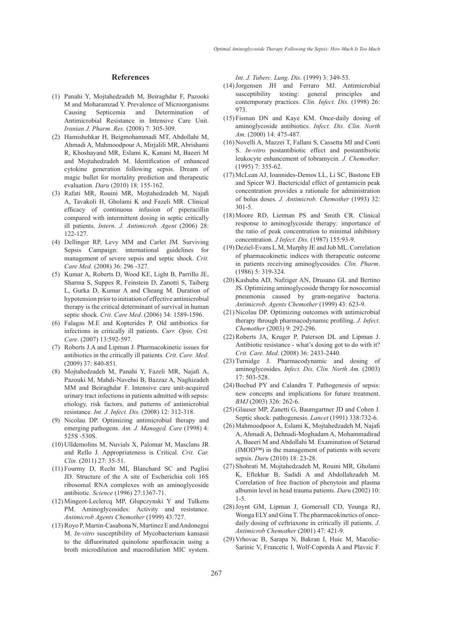#### **References**

- Panahi Y, Mojtahedzadeh M, Beiraghdar F, Pazooki (1) M and Moharamzad Y. Prevalence of Microorganisms Causing Septicemia and Determination of Antimicrobial Resistance in Intensive Care Unit. *Iranian J. Pharm. Res.* (2008) 7: 305-309.
- (2) Hamishehkar H, Beigmohammadi MT, Abdollahi M, Ahmadi A, Mahmoodpour A, Mirjalili MR, Abrishami R, Khoshayand MR, Eslami K, Kanani M, Baeeri M and Mojtahedzadeh M. Identification of enhanced cytokine generation following sepsis. Dream of magic bullet for mortality prediction and therapeutic evaluation. *Daru* (2010) 18: 155-162.
- Rafati MR, Rouini MR, Mojtahedzadeh M, Najafi (3) A, Tavakoli H, Gholami K and Fazeli MR. Clinical efficacy of continuous infusion of piperacillin compared with intermittent dosing in septic critically ill patients. *Intern. J. Antimicrob. Agent* (2006) 28: 122-127.
- Dellinger RP, Levy MM and Carlet JM. Surviving (4) Sepsis Campaign: international guidelines for management of severe sepsis and septic shock. *Crit. Care Med.* (2008) 36: 296 -327.
- (5) Kumar A, Roberts D, Wood KE, Light B, Parrillo JE, Sharma S, Suppes R, Feinstein D, Zanotti S, Taiberg L, Gurka D, Kumar A and Cheang M. Duration of hypotension prior to initiation of effective antimicrobial therapy is the critical determinant of survival in human septic shock. *Crit. Care Med*. (2006) 34: 1589-1596.
- Falagas M.E and Kopterides P. Old antibiotics for (6) infections in critically ill patients. *Curr. Opin. Crit. Care*. (2007) 13:592-597.
- Roberts J.A and Lipman J. Pharmacokinetic issues for (7) antibiotics in the critically ill patients. *Crit. Care. Med*. (2009) 37: 840-851.
- Mojtahedzadeh M, Panahi Y, Fazeli MR, Najafi A, (8) Pazouki M, Mahdi-Navehsi B, Bazzaz A, Naghizadeh MM and Beiraghdar F. Intensive care unit-acquired urinary tract infections in patients admitted with sepsis: etiology, risk factors, and patterns of antimicrobial resistance. *Int. J. Infect. Dis*. (2008) 12: 312-318.
- (9) Nicolau DP. Optimizing antimicrobial therapy and emerging pathogens. *Am. J. Managed. Care* (1998) 4: 525S -530S.
- (10) Ulldemolins M, Nuvials X, Palomar M, Masclans JR and Rello J. Appropriateness is Critical. *Crit. Car. Clin*. (2011) 27: 35-51.
- (11) Fourmy D, Recht MI, Blanchard SC and Puglisi JD. Structure of the A site of Escherichia coli 16S ribosomal RNA complexes with an aminoglycoside antibiotic. *Science* (1996) 27:1367-71.
- (12) Mingeot-Leclercq MP, Glupczynski Y and Tulkens PM. Aminoglycosides: Activity and resistance. *Antimicrob Agents Chemother* (1999) 43:727.
- (13) Royo P, Martin-Casabona N, Martinez E and Andonegui M. *In-vitro* susceptibility of Mycobacterium kansasii to the difluorinated quinolone sparfloxacin using a broth microdilution and macrodilution MIC system.

*Int. J. Tuberc. Lung. Dis*. (1999) 3: 349-53.

- (14) Jorgensen JH and Ferraro MJ. Antimicrobial susceptibility testing: general principles and contemporary practices. *Clin. Infect. Dis*. (1998) 26: 973.
- Fisman DN and Kaye KM. Once-daily dosing of (15) aminoglycoside antibiotics. *Infect. Dis*. *Clin. North Am*. (2000) 14: 475-487.
- (16) Novelli A, Mazzei T, Fallani S, Cassetta MI and Conti S. *In-vitro* postantibiotic effect and postantibiotic leukocyte enhancement of tobramycin. *J. Chemother*. (1995) 7: 355-62.
- McLean AJ, Ioannides-Demos LL, Li SC, Bastone EB (17) and Spicer WJ. Bactericidal effect of gentamicin peak concentration provides a rationale for administration of bolus doses. *J. Antimicrob. Chemother* (1993) 32: 301-5.
- (18) Moore RD, Lietman PS and Smith CR. Clinical response to aminoglycoside therapy: importance of the ratio of peak concentration to minimal inhibitory concentration. *J Infect. Dis*. (1987) 155:93-9.
- (19) Deziel-Evans L.M, Murphy JE and Job ML. Correlation of pharmacokinetic indices with therapeutic outcome in patients receiving aminoglycosides. *Clin. Pharm*. (1986) 5: 319-324.
- (20) Kashuba AD, Nafziger AN, Drusano GL and Bertino JS. Optimizing aminoglycoside therapy for nosocomial pneumonia caused by gram-negative bacteria. *Antimicrob*. *Agents Chemother* (1999) 43: 623-9.
- (21) Nicolau DP. Optimizing outcomes with antimicrobial therapy through pharmacodynamic profiling. *J. Infect. Chemother* (2003) 9: 292-296.
- $(22)$  Roberts JA, Kruger P, Paterson DL and Lipman J. Antibiotic resistance - what's dosing got to do with it? *Crit. Care. Med*. (2008) 36: 2433-2440.
- (23) Turnidge J. Pharmacodynamic and dosing of aminoglycosides. *Infect. Dis. Clin. North Am.* (2003) 17: 503-528.
- $(24)$  Bochud PY and Calandra T. Pathogenesis of sepsis: new concepts and implications for future treatment. *BMJ* (2003) 326: 262-6.
- (25) Glauser MP, Zanetti G, Baumgartner JD and Cohen J. Septic shock: pathogenesis. *Lancet* (1991) 338:732-6.
- (26) Mahmoodpoor A, Eslami K, Mojtahedzadeh M, Najafi A, Ahmadi A, Dehnadi-Moghadam A, Mohammadirad A, Baeeri M and Abdollahi M. Examination of Setarud (IMOD™) in the management of patients with severe sepsis. *Daru* (2010) 18: 23-28.
- (27) Shohrati M, Mojtahedzadeh M, Rouini MR, Gholami K, Eftekhar B, Sadidi A and Abdollahzadeh M. Correlation of free fraction of phenytoin and plasma albumin level in head trauma patients. *Daru* (2002) 10: 1-5.
- (28) Joynt GM, Lipman J, Gomersall CD, Younga RJ, Wonga ELY and Gina T. The pharmacokinetics of oncedaily dosing of ceftriaxone in critically ill patients. *J*. *Antimicrob Chemother* (2001) 47: 421-9.
- (29) Vrhovac B, Sarapa N, Bakran I, Huic M, Macolic-Sarinic V, Francetic I, Wolf-Coporda A and Plavsic F.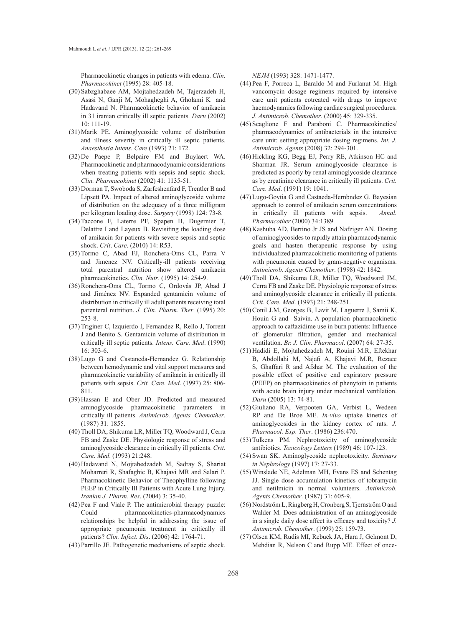Pharmacokinetic changes in patients with edema. *Clin. Pharmacokinet* (1995) 28: 405-18.

- (30) Sabzghabaee AM, Mojtahedzadeh M, Tajerzadeh H, Asasi N, Ganji M, Mohagheghi A, Gholami K and Hadavand N. Pharmacokinetic behavior of amikacin in 31 iranian critically ill septic patients. *Daru* (2002) 10: 111-19.
- (31) Marik PE. Aminoglycoside volume of distribution and illness severity in critically ill septic patients. *Anaesthesia Intens. Care* (1993) 21: 172.
- $(32)$  De Paepe P, Belpaire FM and Buylaert WA. Pharmacokinetic and pharmacodynamic considerations when treating patients with sepsis and septic shock. *Clin. Pharmacokinet* (2002) 41: 1135-51.
- (33) Dorman T, Swoboda S, Zarfeshenfard F, Trentler B and Lipsett PA. Impact of altered aminoglycoside volume of distribution on the adequacy of a three milligram per kilogram loading dose. *Surgery* (1998) 124: 73-8.
- (34) Taccone F, Laterre PF, Spapen H, Dugernier T, Delattre I and Layeux B. Revisiting the loading dose of amikacin for patients with severe sepsis and septic shock. *Crit*. *Care*. (2010) 14: R53.
- (35) Tormo C, Abad FJ, Ronchera-Oms CL, Parra V and Jimenez NV. Critically-ill patients receiving total parentral nutrition show altered amikacin pharmacokinetics. *Clin. Nutr*. (1995) 14: 254-9.
- (36) Ronchera-Oms CL, Tormo C, Ordovás JP, Abad J and Jiménez NV. Expanded gentamicin volume of distribution in critically ill adult patients receiving total parenteral nutrition. *J. Clin. Pharm. Ther*. (1995) 20: 253-8.
- (37) Triginer C, Izquierdo I, Fernandez R, Rello J, Torrent J and Benito S. Gentamicin volume of distribution in critically ill septic patients. *Intens. Care. Med*. (1990) 16: 303-6.
- Lugo G and Castaneda-Hernandez G. Relationship (38) between hemodynamic and vital support measures and pharmacokinetic variability of amikacin in critically ill patients with sepsis. *Crit. Care. Med*. (1997) 25: 806- 811.
- (39) Hassan E and Ober JD. Predicted and measured aminoglycoside pharmacokinetic parameters in critically ill patients. *Antimicrob. Agents. Chemother*. (1987) 31: 1855.
- Tholl DA, Shikuma LR, Miller TQ, Woodward J, Cerra (40) FB and Zaske DE. Physiologic response of stress and aminoglycoside clearance in critically ill patients. *Crit. Care. Med*. (1993) 21:248.
- (40) Hadavand N, Mojtahedzadeh M, Sadray S, Shariat Moharreri R, Shafaghic B, Khajavi MR and Salari P. Pharmacokinetic Behavior of Theophylline following PEEP in Critically Ill Patients with Acute Lung Injury. *Iranian J. Pharm. Res*. (2004) 3: 35-40.
- $(42)$  Pea F and Viale P. The antimicrobial therapy puzzle: Could pharmacokinetics-pharmacodynamics relationships be helpful in addressing the issue of appropriate pneumonia treatment in critically ill patients? *Clin. Infect. Dis*. (2006) 42: 1764-71.
- Parrillo JE. Pathogenetic mechanisms of septic shock. (43)

*NEJM* (1993) 328: 1471-1477.

- $(44)$  Pea F, Porreca L, Baraldo M and Furlanut M. High vancomycin dosage regimens required by intensive care unit patients cotreated with drugs to improve haemodynamics following cardiac surgical procedures. *J. Antimicrob. Chemother*. (2000) 45: 329-335.
- $(45)$  Scaglione F and Paraboni C. Pharmacokinetics/ pharmacodynamics of antibacterials in the intensive care unit: setting appropriate dosing regimens. *Int. J. Antimicrob. Agents* (2008) 32: 294-301.
- (46) Hickling KG, Begg EJ, Perry RE, Atkinson HC and Sharman JR. Serum aminoglycoside clearance is predicted as poorly by renal aminoglycoside clearance as by creatinine clearance in critically ill patients. *Crit. Care. Med*. (1991) 19: 1041.
- Lugo-Goytia G and Castaeda-Hernbndez G. Bayesian (47) approach to control of amikacin serum concentrations in critically ill patients with sepsis. *Annal. Pharmacother* (2000) 34:1389
- (48) Kashuba AD, Bertino Jr JS and Nafziger AN. Dosing of aminoglycosides to rapidly attain pharmacodynamic goals and hasten therapeutic response by using individualized pharmacokinetic monitoring of patients with pneumonia caused by gram-negative organisms. *Antimicrob. Agents Chemother*. (1998) 42: 1842.
- (49) Tholl DA, Shikuma LR, Miller TQ, Woodward JM, Cerra FB and Zaske DE. Physiologic response of stress and aminoglycoside clearance in critically ill patients. *Crit. Care. Med*. (1993) 21: 248-251.
- (50) Conil J.M, Georges B, Lavit M, Laguerre J, Samii K, Houin G and Saivin. A population pharmacokinetic approach to caftazidime use in burn patients: Influence of glomerular filtration, gender and mechanical ventilation. *Br. J. Clin. Pharmacol*. (2007) 64: 27-35.
- (51) Hadidi E, Mojtahedzadeh M, Rouini M.R, Eftekhar B, Abdollahi M, Najafi A, Khajavi M.R, Rezaee S, Ghaffari R and Afshar M. The evaluation of the possible effect of positive end expiratory pressure (PEEP) on pharmacokinetics of phenytoin in patients with acute brain injury under mechanical ventilation. *Daru* (2005) 13: 74-81.
- (52) Giuliano RA, Verpooten GA, Verbist L, Wedeen RP and De Broe ME. *In-vivo* uptake kinetics of aminoglycosides in the kidney cortex of rats. *J. Pharmacol. Exp. Ther*. (1986) 236:470.
- (53) Tulkens PM. Nephrotoxicity of aminoglycoside antibiotics. *Toxicology Letters* (1989) 46: 107-123.
- Swan SK. Aminoglycoside nephrotoxicity. *Seminars*  (54) *in Nephrology* (1997) 17: 27-33.
- Winslade NE, Adelman MH, Evans ES and Schentag (55) JJ. Single dose accumulation kinetics of tobramycin and netilmicin in normal volunteers. *Antimicrob. Agents Chemother*. (1987) 31: 605-9.
- (56) Nordström L, Ringberg H, Cronberg S, Tjernström O and Walder M. Does administration of an aminoglycoside in a single daily dose affect its efficacy and toxicity? *J. Antimicrob. Chemother*. (1999) 25: 159-73.
- (57) Olsen KM, Rudis MI, Rebuck JA, Hara J, Gelmont D, Mehdian R, Nelson C and Rupp ME. Effect of once-